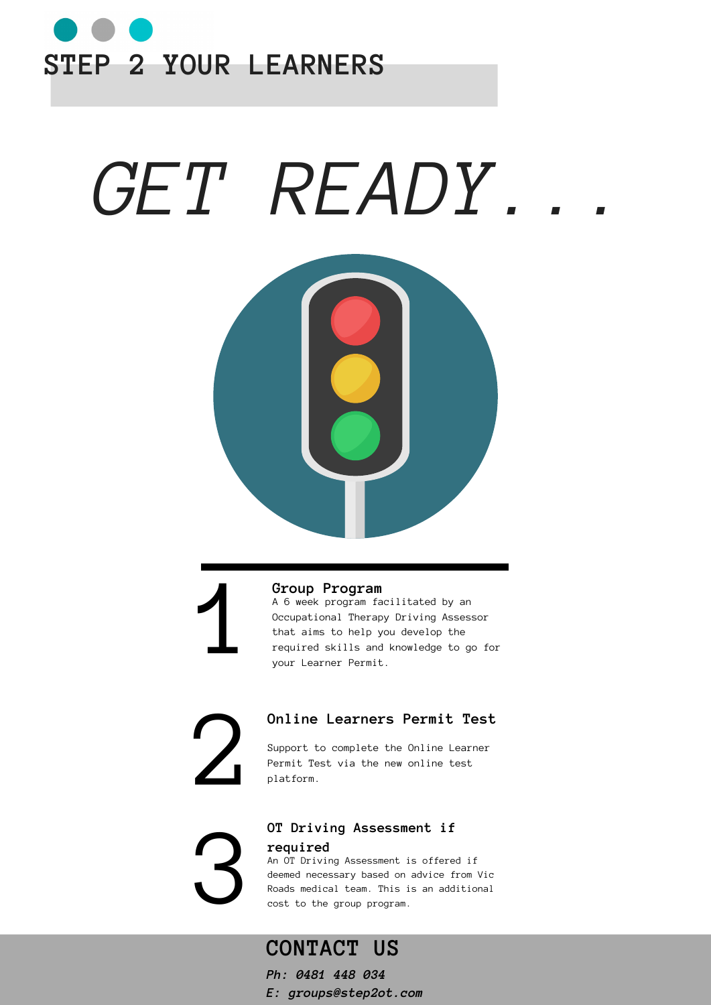

# *GET READY...*





### **Group Program**

1 A 6 week program facilitated by an Occupational Therapy Driving Assessor that aims to help you develop the required skills and knowledge to go for your Learner Permit.



### **Online Learners Permit Test**

Support to complete the Online Learner Permit Test via the new online test platform.

3

## **OT Driving Assessment if**

#### **required**

An OT Driving Assessment is offered if deemed necessary based on advice from Vic Roads medical team. This is an additional cost to the group program.

# **CONTACT US**

*Ph: 0481 448 034*

*E: groups@step2ot.com*